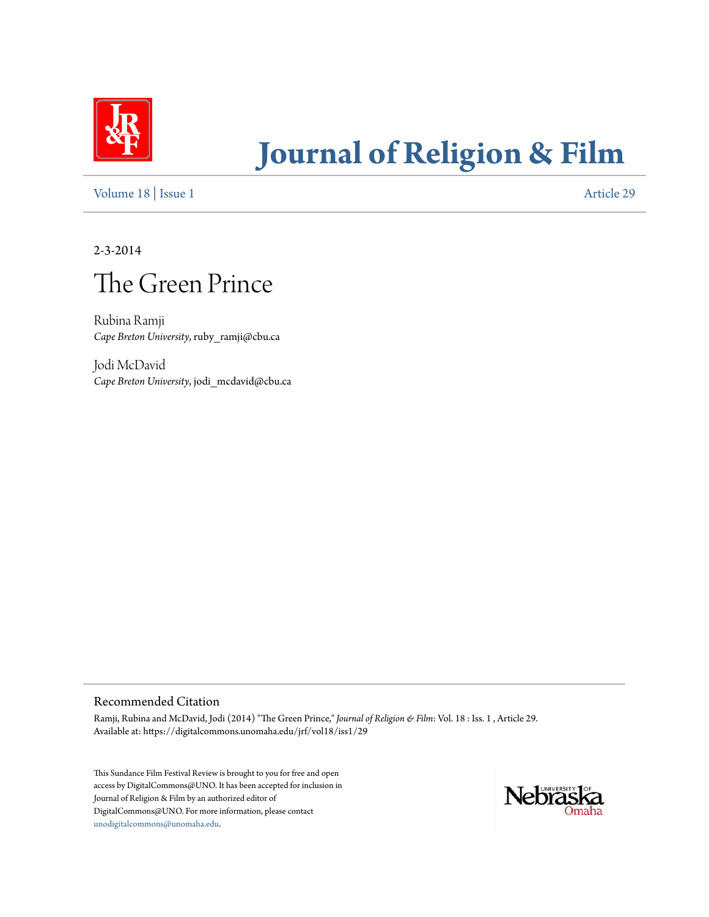

# **[Journal of Religion & Film](https://digitalcommons.unomaha.edu/jrf)**

[Volume 18](https://digitalcommons.unomaha.edu/jrf/vol18) | [Issue 1](https://digitalcommons.unomaha.edu/jrf/vol18/iss1) [Article 29](https://digitalcommons.unomaha.edu/jrf/vol18/iss1/29)

2-3-2014



Rubina Ramji *Cape Breton University*, ruby\_ramji@cbu.ca

Jodi McDavid *Cape Breton University*, jodi\_mcdavid@cbu.ca

#### Recommended Citation

Ramji, Rubina and McDavid, Jodi (2014) "The Green Prince," *Journal of Religion & Film*: Vol. 18 : Iss. 1 , Article 29. Available at: https://digitalcommons.unomaha.edu/jrf/vol18/iss1/29

This Sundance Film Festival Review is brought to you for free and open access by DigitalCommons@UNO. It has been accepted for inclusion in Journal of Religion & Film by an authorized editor of DigitalCommons@UNO. For more information, please contact [unodigitalcommons@unomaha.edu](mailto:unodigitalcommons@unomaha.edu).

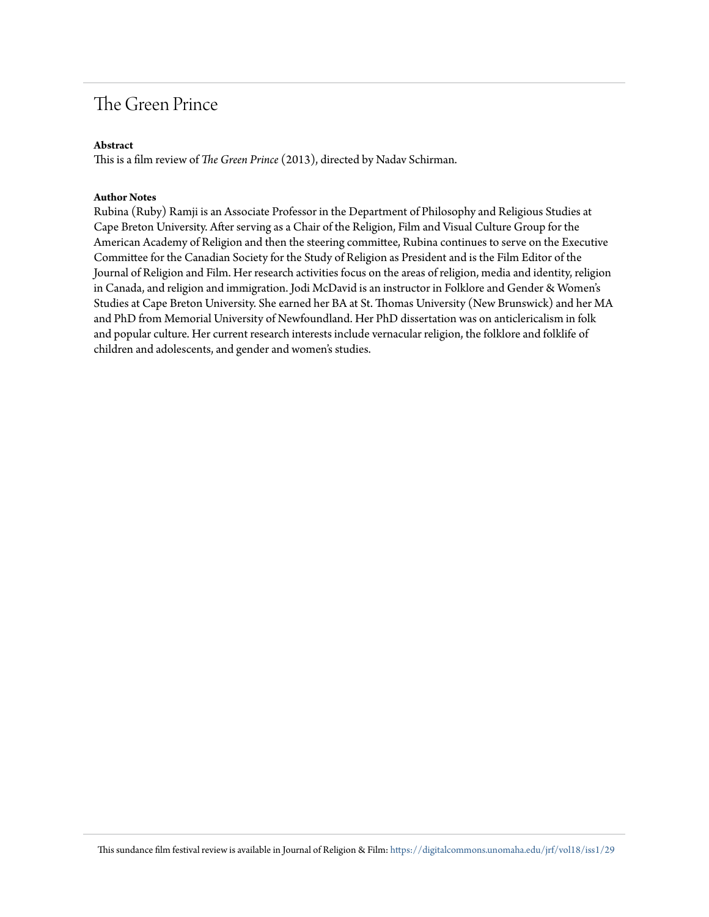## The Green Prince

#### **Abstract**

This is a film review of *The Green Prince* (2013), directed by Nadav Schirman.

#### **Author Notes**

Rubina (Ruby) Ramji is an Associate Professor in the Department of Philosophy and Religious Studies at Cape Breton University. After serving as a Chair of the Religion, Film and Visual Culture Group for the American Academy of Religion and then the steering committee, Rubina continues to serve on the Executive Committee for the Canadian Society for the Study of Religion as President and is the Film Editor of the Journal of Religion and Film. Her research activities focus on the areas of religion, media and identity, religion in Canada, and religion and immigration. Jodi McDavid is an instructor in Folklore and Gender & Women's Studies at Cape Breton University. She earned her BA at St. Thomas University (New Brunswick) and her MA and PhD from Memorial University of Newfoundland. Her PhD dissertation was on anticlericalism in folk and popular culture. Her current research interests include vernacular religion, the folklore and folklife of children and adolescents, and gender and women's studies.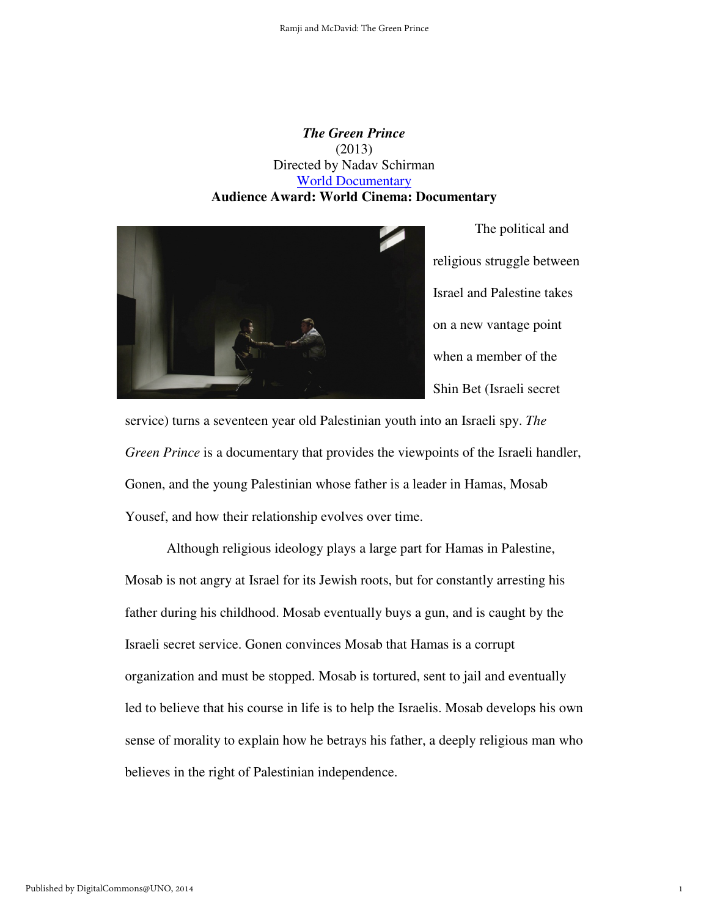### *The Green Prince*  (2013) Directed by Nadav Schirman World Documentary **Audience Award: World Cinema: Documentary**



The political and religious struggle between Israel and Palestine takes on a new vantage point when a member of the Shin Bet (Israeli secret

1

service) turns a seventeen year old Palestinian youth into an Israeli spy. *The Green Prince* is a documentary that provides the viewpoints of the Israeli handler, Gonen, and the young Palestinian whose father is a leader in Hamas, Mosab Yousef, and how their relationship evolves over time.

Although religious ideology plays a large part for Hamas in Palestine, Mosab is not angry at Israel for its Jewish roots, but for constantly arresting his father during his childhood. Mosab eventually buys a gun, and is caught by the Israeli secret service. Gonen convinces Mosab that Hamas is a corrupt organization and must be stopped. Mosab is tortured, sent to jail and eventually led to believe that his course in life is to help the Israelis. Mosab develops his own sense of morality to explain how he betrays his father, a deeply religious man who believes in the right of Palestinian independence.